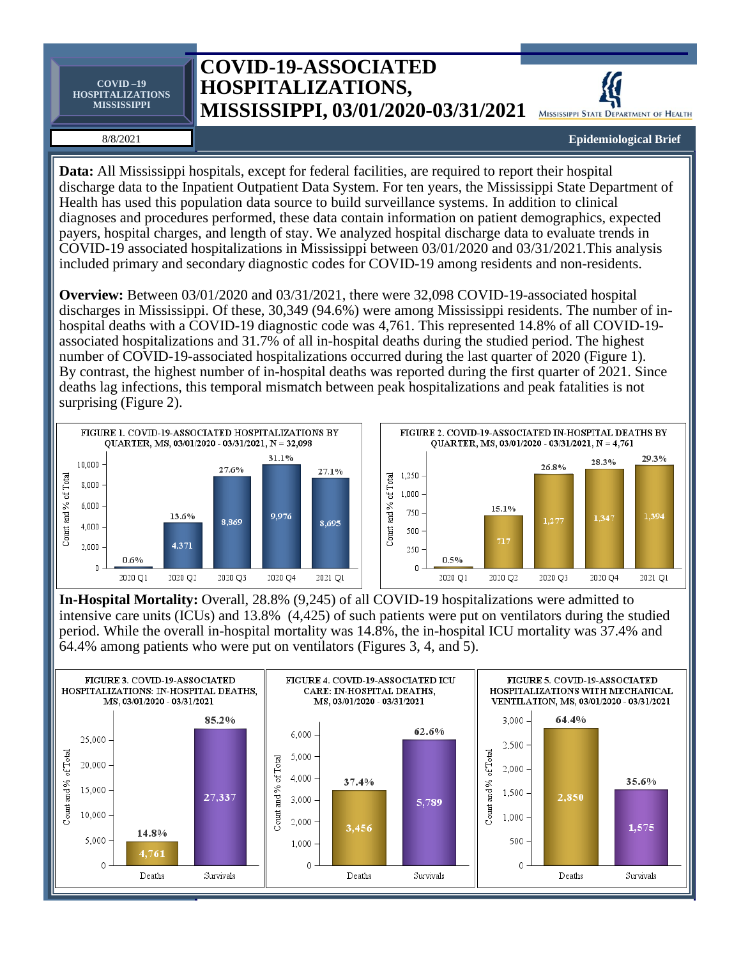**COVID –19 HOSPITALIZATIONS MISSISSIPPI**

## **COVID-19-ASSOCIATED HOSPITALIZATIONS, MISSISSIPPI, 03/01/2020-03/31/2021** MISSISSIPPI STATE DEPARTMENT OF HEALTH



## 8/8/2021

## **Epidemiological Brief**

**Data:** All Mississippi hospitals, except for federal facilities, are required to report their hospital discharge data to the Inpatient Outpatient Data System. For ten years, the Mississippi State Department of Health has used this population data source to build surveillance systems. In addition to clinical diagnoses and procedures performed, these data contain information on patient demographics, expected payers, hospital charges, and length of stay. We analyzed hospital discharge data to evaluate trends in COVID-19 associated hospitalizations in Mississippi between 03/01/2020 and 03/31/2021.This analysis included primary and secondary diagnostic codes for COVID-19 among residents and non-residents.

**Overview:** Between 03/01/2020 and 03/31/2021, there were 32,098 COVID-19-associated hospital discharges in Mississippi. Of these, 30,349 (94.6%) were among Mississippi residents. The number of inhospital deaths with a COVID-19 diagnostic code was 4,761. This represented 14.8% of all COVID-19 associated hospitalizations and 31.7% of all in-hospital deaths during the studied period. The highest number of COVID-19-associated hospitalizations occurred during the last quarter of 2020 (Figure 1). By contrast, the highest number of in-hospital deaths was reported during the first quarter of 2021. Since deaths lag infections, this temporal mismatch between peak hospitalizations and peak fatalities is not surprising (Figure 2).





**In-Hospital Mortality:** Overall, 28.8% (9,245) of all COVID-19 hospitalizations were admitted to intensive care units (ICUs) and 13.8% (4,425) of such patients were put on ventilators during the studied period. While the overall in-hospital mortality was 14.8%, the in-hospital ICU mortality was 37.4% and 64.4% among patients who were put on ventilators (Figures 3, 4, and 5).